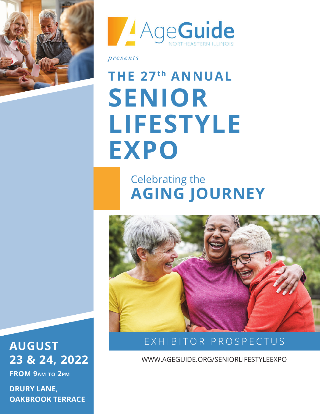



*presents* 

# **THE 27th ANNUAL SENIOR LIFESTYLE EXPO**

### Celebrating the **AGING JOURNEY**



### EXHIBITOR PROSPECTUS

WWW.AGEGUIDE.ORG/SENIORLIFESTYLEEXPO

### **AUGUST 23 & 24, 2022**

**FROM 9am to 2pm**

**DRURY LANE, OAKBROOK TERRACE**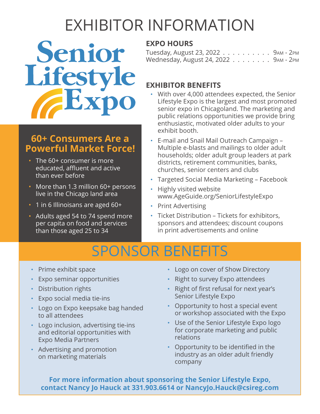# EXHIBITOR INFORMATION

Senior Lifestyle

#### **60+ Consumers Are a Powerful Market Force!**

- The 60+ consumer is more educated, affluent and active than ever before
- More than 1.3 million 60+ persons live in the Chicago land area
- 1 in 6 Illinoisans are aged 60+
- Adults aged 54 to 74 spend more per capita on food and services than those aged 25 to 34

#### **EXPO HOURS**

Tuesday, August 23, 2022 . . . . . . . . . . 9am - 2pm Wednesday, August 24, 2022 . . . . . . . . 9am - 2pm

#### **EXHIBITOR BENEFITS**

- With over 4,000 attendees expected, the Senior Lifestyle Expo is the largest and most promoted senior expo in Chicagoland. The marketing and public relations opportunities we provide bring enthusiastic, motivated older adults to your exhibit booth.
- E-mail and Snail Mail Outreach Campaign Multiple e-blasts and mailings to older adult households; older adult group leaders at park districts, retirement communities, banks, churches, senior centers and clubs
- Targeted Social Media Marketing Facebook
- Highly visited website www.AgeGuide.org/SeniorLifestyleExpo
- Print Advertising
- Ticket Distribution Tickets for exhibitors, sponsors and attendees; discount coupons in print advertisements and online

### SPONSOR BENEFITS

- Prime exhibit space
- Expo seminar opportunities
- Distribution rights
- Expo social media tie-ins
- Logo on Expo keepsake bag handed to all attendees
- Logo inclusion, advertising tie-ins and editorial opportunities with Expo Media Partners
- Advertising and promotion on marketing materials
- Logo on cover of Show Directory
- Right to survey Expo attendees
- Right of first refusal for next year's Senior Lifestyle Expo
- Opportunity to host a special event or workshop associated with the Expo
- Use of the Senior Lifestyle Expo logo for corporate marketing and public relations
- Opportunity to be identified in the industry as an older adult friendly company

**For more information about sponsoring the Senior Lifestyle Expo, contact Nancy Jo Hauck at 331.903.6614 or NancyJo.Hauck@csireg.com**